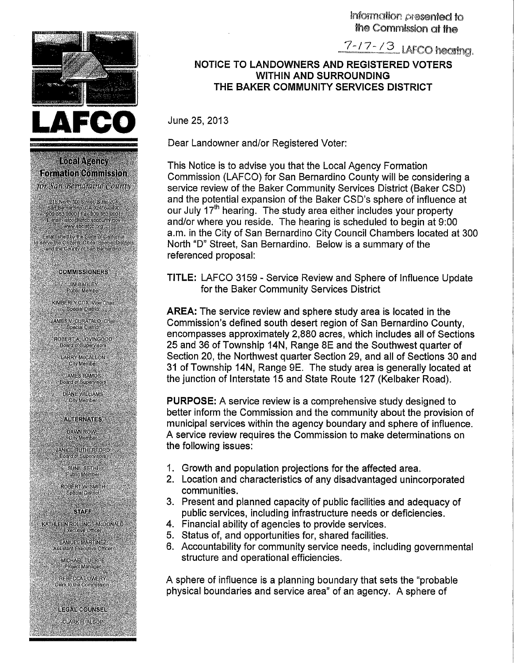Information presented to the Commission at the

 $7 - 17 - 13$  LAFCO hearing.

## **NOTICE TO LANDOWNERS AND REGISTERED VOTERS WITHIN AND SURROUNDING THE BAKER COMMUNITY SERVICES DISTRICT**

June 25, 2013

 $\blacksquare$ 

Local Agency Formation Commission for San Bernardino County

215 North ID: Street, SUIG 204<br>
San Bernardino, CA 92416-0490<br>
Sopies 9900 || Fax 909 363 9901<br>
"E-mail (Iato @arto spoonint) gov<br>
"E-mail (Iato @arto spoonint) gov<br>
"Awwysbola corre

Established by the State of California<br>serve the Olizens Clies, Special Districts<br>and the County of San Bernardino

**COMMISSIONERS** JIM BAGLEY<br>Public Member KIMBERLY COX, Vice Chair Special District **JAMES V. CURATALO, Chair**<br>Special District

ROBERT A LOVINGOOD<br>Board of Supervisors **LARRY McCALLON City Member JAMES RAMOS Board of Supervisors DIANE WILLIAMS** City Member

> **ALTERNATES** DAWN ROWE<br>City Member

JANICE RUTHERFORD

SUNIL SETHI<br>Public Member **ROBERTW SMITH** Special District

**STAFF KATHLEEN ROLLINGS-MCDONALD**<br>Executive Office:

SAMUEL MARTINEZ<br>Assistant Executive Officer

MICHAEL TUERPE<br>Project Manager REBECCALOWERY Clerk to the Commission

**LEGAL COUNSEL** CLARK H. ALSOP - 35

A \

Dear Landowner and/or Registered Voter:

This Notice is to advise you that the Local Agency Formation Commission (LAFCO) for San Bernardino County will be considering a service review of the Baker Community Services District (Baker CSD) and the potential expansion of the Baker CSD's sphere of influence at our July 17<sup>th</sup> hearing. The study area either includes your property and/or where you reside. The hearing is scheduled to begin at 9:00 a.m. in the City of San Bernardino City Council Chambers located at 300 North "D" Street, San Bernardino. Below is a summary of the referenced proposal:

**TITLE:** LAFCO 3159 - Service Review and Sphere of Influence Update for the Baker Community Services District

**AREA:** The service review and sphere study area is located in the Commission's defined south desert region of San Bernardino County, encompasses approximately 2,880 acres, which includes all of Sections 25 and 36 of Township 14N, Range 8E and the Southwest quarter of Section 20, the Northwest quarter Section 29, and all of Sections 30 and 31 of Township 14N, Range 9E. The study area is generally located at the junction of Interstate 15 and State Route 127 (Kelbaker Road).

**PURPOSE:** A service review is a comprehensive study designed to better inform the Commission and the community about the provision of municipal services within the agency boundary and sphere of influence. A service review requires the Commission to make determinations on the following issues:

- 1. Growth and population projections for the affected area.
- 2. Location and characteristics of any disadvantaged unincorporated communities.
- 3. Present and planned capacity of public facilities and adequacy of public services, including infrastructure needs or deficiencies.
- 4. Financial ability of agencies to provide services.
- 5. Status of, and opportunities for, shared facilities.
- 6. Accountability for community service needs, including governmental structure and operational efficiencies.

A sphere of influence is a planning boundary that sets the "probable physical boundaries and service area" of an agency. A sphere of